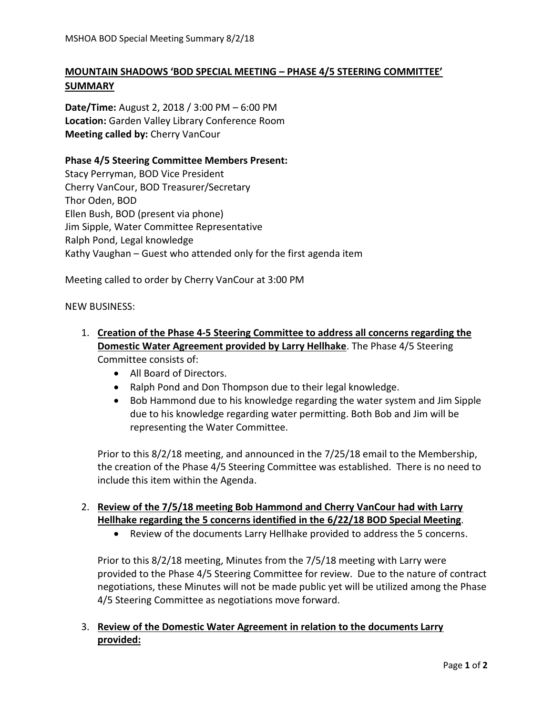# **MOUNTAIN SHADOWS 'BOD SPECIAL MEETING – PHASE 4/5 STEERING COMMITTEE' SUMMARY**

**Date/Time:** August 2, 2018 / 3:00 PM – 6:00 PM **Location:** Garden Valley Library Conference Room **Meeting called by:** Cherry VanCour

### **Phase 4/5 Steering Committee Members Present:**

Stacy Perryman, BOD Vice President Cherry VanCour, BOD Treasurer/Secretary Thor Oden, BOD Ellen Bush, BOD (present via phone) Jim Sipple, Water Committee Representative Ralph Pond, Legal knowledge Kathy Vaughan – Guest who attended only for the first agenda item

Meeting called to order by Cherry VanCour at 3:00 PM

NEW BUSINESS:

- 1. **Creation of the Phase 4-5 Steering Committee to address all concerns regarding the Domestic Water Agreement provided by Larry Hellhake**. The Phase 4/5 Steering Committee consists of:
	- All Board of Directors.
	- Ralph Pond and Don Thompson due to their legal knowledge.
	- Bob Hammond due to his knowledge regarding the water system and Jim Sipple due to his knowledge regarding water permitting. Both Bob and Jim will be representing the Water Committee.

Prior to this 8/2/18 meeting, and announced in the 7/25/18 email to the Membership, the creation of the Phase 4/5 Steering Committee was established. There is no need to include this item within the Agenda.

### 2. **Review of the 7/5/18 meeting Bob Hammond and Cherry VanCour had with Larry Hellhake regarding the 5 concerns identified in the 6/22/18 BOD Special Meeting**.

• Review of the documents Larry Hellhake provided to address the 5 concerns.

Prior to this 8/2/18 meeting, Minutes from the 7/5/18 meeting with Larry were provided to the Phase 4/5 Steering Committee for review. Due to the nature of contract negotiations, these Minutes will not be made public yet will be utilized among the Phase 4/5 Steering Committee as negotiations move forward.

## 3. **Review of the Domestic Water Agreement in relation to the documents Larry provided:**